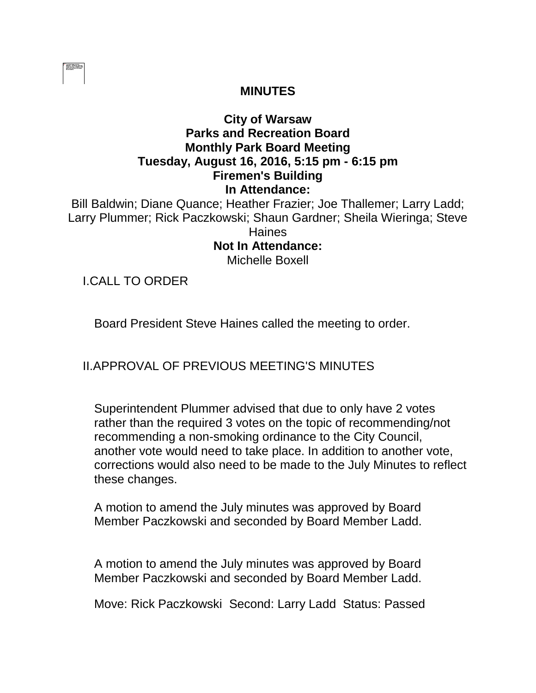|  | ------- |  |
|--|---------|--|
|  |         |  |
|  |         |  |
|  |         |  |
|  |         |  |
|  |         |  |
|  |         |  |

### **MINUTES**

# **City of Warsaw Parks and Recreation Board Monthly Park Board Meeting Tuesday, August 16, 2016, 5:15 pm - 6:15 pm Firemen's Building In Attendance:**

Bill Baldwin; Diane Quance; Heather Frazier; Joe Thallemer; Larry Ladd; Larry Plummer; Rick Paczkowski; Shaun Gardner; Sheila Wieringa; Steve **Haines Not In Attendance:** 

Michelle Boxell

I.CALL TO ORDER

Board President Steve Haines called the meeting to order.

# II.APPROVAL OF PREVIOUS MEETING'S MINUTES

Superintendent Plummer advised that due to only have 2 votes rather than the required 3 votes on the topic of recommending/not recommending a non-smoking ordinance to the City Council, another vote would need to take place. In addition to another vote, corrections would also need to be made to the July Minutes to reflect these changes.

A motion to amend the July minutes was approved by Board Member Paczkowski and seconded by Board Member Ladd.

A motion to amend the July minutes was approved by Board Member Paczkowski and seconded by Board Member Ladd.

Move: Rick Paczkowski Second: Larry Ladd Status: Passed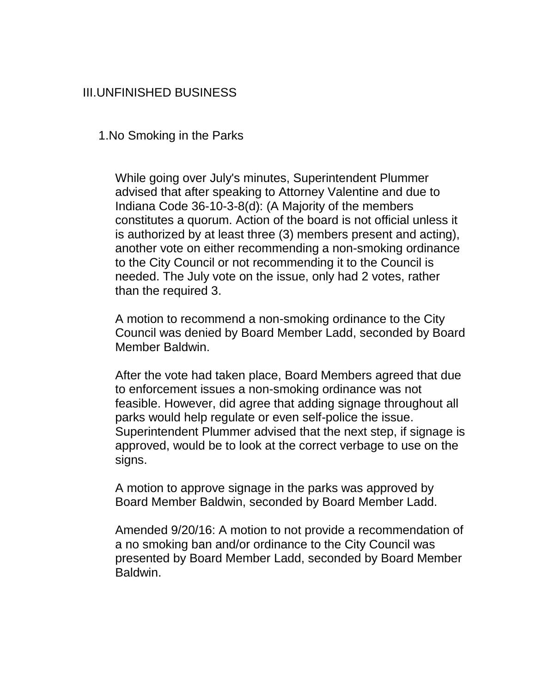# III.UNFINISHED BUSINESS

1.No Smoking in the Parks

While going over July's minutes, Superintendent Plummer advised that after speaking to Attorney Valentine and due to Indiana Code 36-10-3-8(d): (A Majority of the members constitutes a quorum. Action of the board is not official unless it is authorized by at least three (3) members present and acting), another vote on either recommending a non-smoking ordinance to the City Council or not recommending it to the Council is needed. The July vote on the issue, only had 2 votes, rather than the required 3.

A motion to recommend a non-smoking ordinance to the City Council was denied by Board Member Ladd, seconded by Board Member Baldwin.

After the vote had taken place, Board Members agreed that due to enforcement issues a non-smoking ordinance was not feasible. However, did agree that adding signage throughout all parks would help regulate or even self-police the issue. Superintendent Plummer advised that the next step, if signage is approved, would be to look at the correct verbage to use on the signs.

A motion to approve signage in the parks was approved by Board Member Baldwin, seconded by Board Member Ladd.

Amended 9/20/16: A motion to not provide a recommendation of a no smoking ban and/or ordinance to the City Council was presented by Board Member Ladd, seconded by Board Member Baldwin.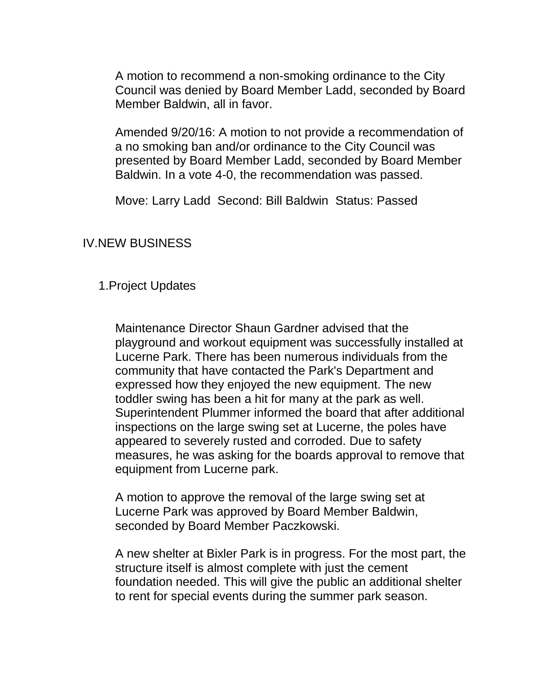A motion to recommend a non-smoking ordinance to the City Council was denied by Board Member Ladd, seconded by Board Member Baldwin, all in favor.

Amended 9/20/16: A motion to not provide a recommendation of a no smoking ban and/or ordinance to the City Council was presented by Board Member Ladd, seconded by Board Member Baldwin. In a vote 4-0, the recommendation was passed.

Move: Larry Ladd Second: Bill Baldwin Status: Passed

#### IV.NEW BUSINESS

### 1.Project Updates

Maintenance Director Shaun Gardner advised that the playground and workout equipment was successfully installed at Lucerne Park. There has been numerous individuals from the community that have contacted the Park's Department and expressed how they enjoyed the new equipment. The new toddler swing has been a hit for many at the park as well. Superintendent Plummer informed the board that after additional inspections on the large swing set at Lucerne, the poles have appeared to severely rusted and corroded. Due to safety measures, he was asking for the boards approval to remove that equipment from Lucerne park.

A motion to approve the removal of the large swing set at Lucerne Park was approved by Board Member Baldwin, seconded by Board Member Paczkowski.

A new shelter at Bixler Park is in progress. For the most part, the structure itself is almost complete with just the cement foundation needed. This will give the public an additional shelter to rent for special events during the summer park season.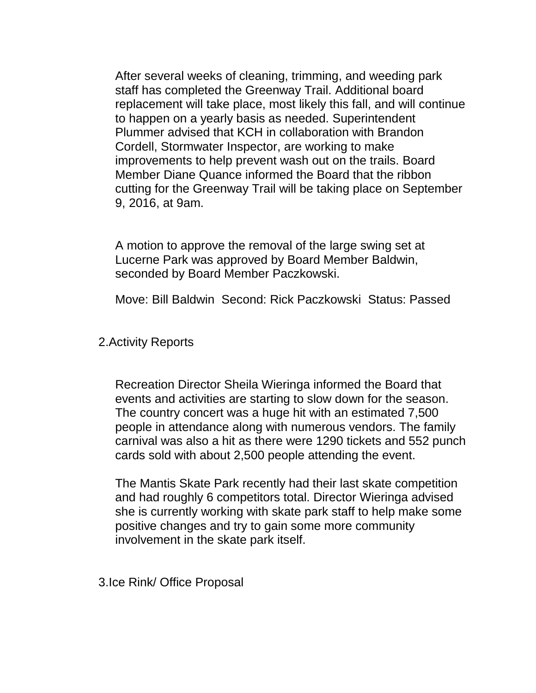After several weeks of cleaning, trimming, and weeding park staff has completed the Greenway Trail. Additional board replacement will take place, most likely this fall, and will continue to happen on a yearly basis as needed. Superintendent Plummer advised that KCH in collaboration with Brandon Cordell, Stormwater Inspector, are working to make improvements to help prevent wash out on the trails. Board Member Diane Quance informed the Board that the ribbon cutting for the Greenway Trail will be taking place on September 9, 2016, at 9am.

A motion to approve the removal of the large swing set at Lucerne Park was approved by Board Member Baldwin, seconded by Board Member Paczkowski.

Move: Bill Baldwin Second: Rick Paczkowski Status: Passed

#### 2.Activity Reports

Recreation Director Sheila Wieringa informed the Board that events and activities are starting to slow down for the season. The country concert was a huge hit with an estimated 7,500 people in attendance along with numerous vendors. The family carnival was also a hit as there were 1290 tickets and 552 punch cards sold with about 2,500 people attending the event.

The Mantis Skate Park recently had their last skate competition and had roughly 6 competitors total. Director Wieringa advised she is currently working with skate park staff to help make some positive changes and try to gain some more community involvement in the skate park itself.

3.Ice Rink/ Office Proposal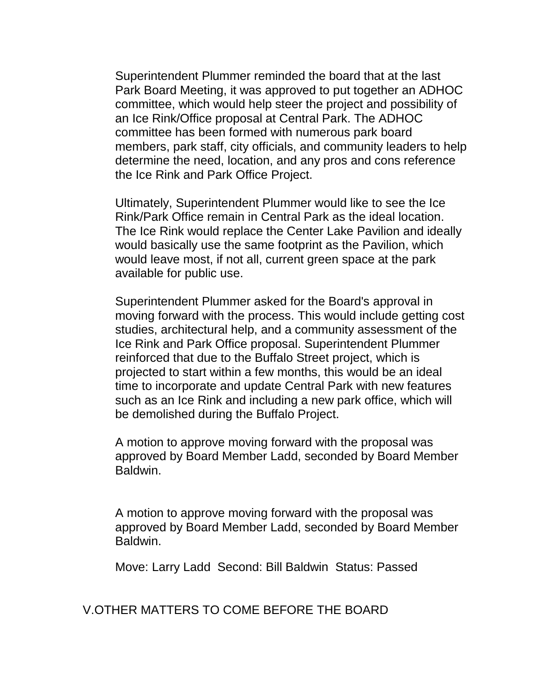Superintendent Plummer reminded the board that at the last Park Board Meeting, it was approved to put together an ADHOC committee, which would help steer the project and possibility of an Ice Rink/Office proposal at Central Park. The ADHOC committee has been formed with numerous park board members, park staff, city officials, and community leaders to help determine the need, location, and any pros and cons reference the Ice Rink and Park Office Project.

Ultimately, Superintendent Plummer would like to see the Ice Rink/Park Office remain in Central Park as the ideal location. The Ice Rink would replace the Center Lake Pavilion and ideally would basically use the same footprint as the Pavilion, which would leave most, if not all, current green space at the park available for public use.

Superintendent Plummer asked for the Board's approval in moving forward with the process. This would include getting cost studies, architectural help, and a community assessment of the Ice Rink and Park Office proposal. Superintendent Plummer reinforced that due to the Buffalo Street project, which is projected to start within a few months, this would be an ideal time to incorporate and update Central Park with new features such as an Ice Rink and including a new park office, which will be demolished during the Buffalo Project.

A motion to approve moving forward with the proposal was approved by Board Member Ladd, seconded by Board Member Baldwin.

A motion to approve moving forward with the proposal was approved by Board Member Ladd, seconded by Board Member **Baldwin** 

Move: Larry Ladd Second: Bill Baldwin Status: Passed

V.OTHER MATTERS TO COME BEFORE THE BOARD